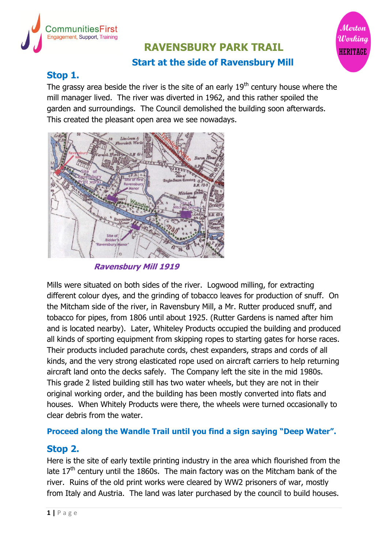

# **RAVENSBURY PARK TRAIL Start at the side of Ravensbury Mill**

Mertan

Working **HERITAGE** 

# **Stop 1.**

The grassy area beside the river is the site of an early  $19<sup>th</sup>$  century house where the mill manager lived. The river was diverted in 1962, and this rather spoiled the garden and surroundings. The Council demolished the building soon afterwards. This created the pleasant open area we see nowadays.



**Ravensbury Mill 1919**

Mills were situated on both sides of the river. Logwood milling, for extracting different colour dyes, and the grinding of tobacco leaves for production of snuff. On the Mitcham side of the river, in Ravensbury Mill, a Mr. Rutter produced snuff, and tobacco for pipes, from 1806 until about 1925. (Rutter Gardens is named after him and is located nearby). Later, Whiteley Products occupied the building and produced all kinds of sporting equipment from skipping ropes to starting gates for horse races. Their products included parachute cords, chest expanders, straps and cords of all kinds, and the very strong elasticated rope used on aircraft carriers to help returning aircraft land onto the decks safely. The Company left the site in the mid 1980s. This grade 2 listed building still has two water wheels, but they are not in their original working order, and the building has been mostly converted into flats and houses. When Whitely Products were there, the wheels were turned occasionally to clear debris from the water.

# **Proceed along the Wandle Trail until you find a sign saying "Deep Water".**

# **Stop 2.**

Here is the site of early textile printing industry in the area which flourished from the late  $17<sup>th</sup>$  century until the 1860s. The main factory was on the Mitcham bank of the river. Ruins of the old print works were cleared by WW2 prisoners of war, mostly from Italy and Austria. The land was later purchased by the council to build houses.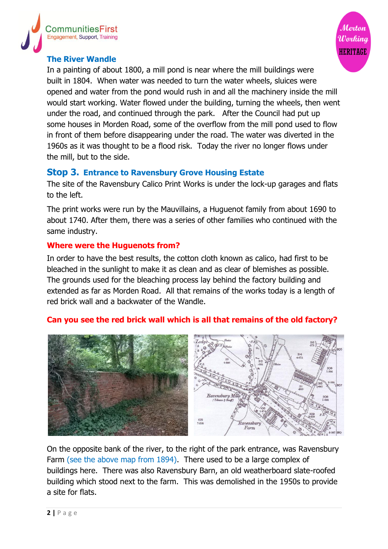



#### **The River Wandle**

In a painting of about 1800, a mill pond is near where the mill buildings were built in 1804. When water was needed to turn the water wheels, sluices were opened and water from the pond would rush in and all the machinery inside the mill would start working. Water flowed under the building, turning the wheels, then went under the road, and continued through the park. After the Council had put up some houses in Morden Road, some of the overflow from the mill pond used to flow in front of them before disappearing under the road. The water was diverted in the 1960s as it was thought to be a flood risk. Today the river no longer flows under the mill, but to the side.

#### **Stop 3. Entrance to Ravensbury Grove Housing Estate**

The site of the Ravensbury Calico Print Works is under the lock-up garages and flats to the left.

The print works were run by the Mauvillains, a Huguenot family from about 1690 to about 1740. After them, there was a series of other families who continued with the same industry.

## **Where were the Huguenots from?**

In order to have the best results, the cotton cloth known as calico, had first to be bleached in the sunlight to make it as clean and as clear of blemishes as possible. The grounds used for the bleaching process lay behind the factory building and extended as far as Morden Road. All that remains of the works today is a length of red brick wall and a backwater of the Wandle.

# 306 Ravensbury Mill 308<br>1-656 Ranenshur

#### **Can you see the red brick wall which is all that remains of the old factory?**

On the opposite bank of the river, to the right of the park entrance, was Ravensbury Farm (see the above map from 1894). There used to be a large complex of buildings here. There was also Ravensbury Barn, an old weatherboard slate-roofed building which stood next to the farm. This was demolished in the 1950s to provide a site for flats.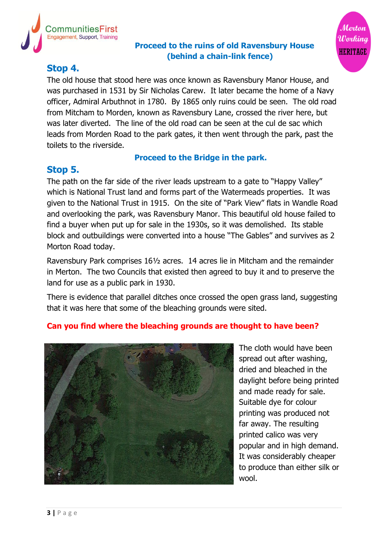

## **Proceed to the ruins of old Ravensbury House (behind a chain-link fence)**



# **Stop 4.**

The old house that stood here was once known as Ravensbury Manor House, and was purchased in 1531 by Sir Nicholas Carew. It later became the home of a Navy officer, Admiral Arbuthnot in 1780. By 1865 only ruins could be seen. The old road from Mitcham to Morden, known as Ravensbury Lane, crossed the river here, but was later diverted. The line of the old road can be seen at the cul de sac which leads from Morden Road to the park gates, it then went through the park, past the toilets to the riverside.

## **Proceed to the Bridge in the park.**

# **Stop 5.**

The path on the far side of the river leads upstream to a gate to "Happy Valley" which is National Trust land and forms part of the Watermeads properties. It was given to the National Trust in 1915. On the site of "Park View" flats in Wandle Road and overlooking the park, was Ravensbury Manor. This beautiful old house failed to find a buyer when put up for sale in the 1930s, so it was demolished. Its stable block and outbuildings were converted into a house "The Gables" and survives as 2 Morton Road today.

Ravensbury Park comprises 16½ acres. 14 acres lie in Mitcham and the remainder in Merton. The two Councils that existed then agreed to buy it and to preserve the land for use as a public park in 1930.

There is evidence that parallel ditches once crossed the open grass land, suggesting that it was here that some of the bleaching grounds were sited.

# **Can you find where the bleaching grounds are thought to have been?**



The cloth would have been spread out after washing, dried and bleached in the daylight before being printed and made ready for sale. Suitable dye for colour printing was produced not far away. The resulting printed calico was very popular and in high demand. It was considerably cheaper to produce than either silk or wool.